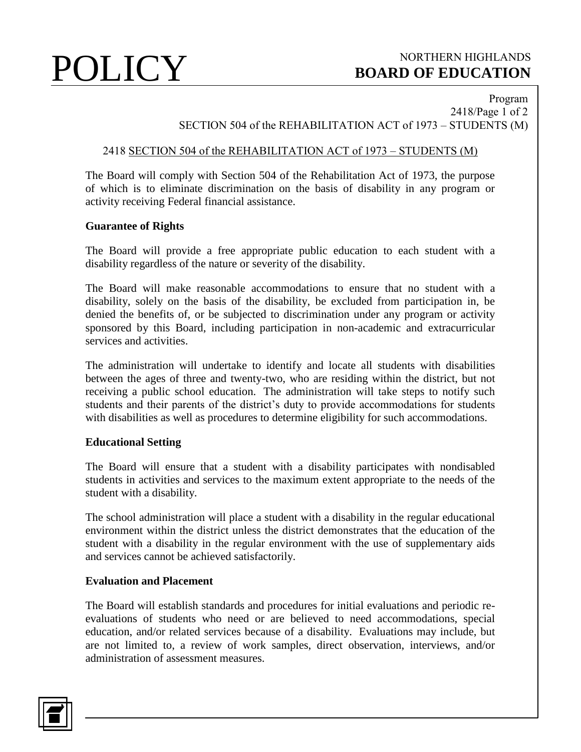# POLICY BOARD OF EDUCATION **BOARD OF EDUCATION**

# Program 2418/Page 1 of 2 SECTION 504 of the REHABILITATION ACT of 1973 – STUDENTS (M)

# 2418 SECTION 504 of the REHABILITATION ACT of 1973 – STUDENTS (M)

The Board will comply with Section 504 of the Rehabilitation Act of 1973, the purpose of which is to eliminate discrimination on the basis of disability in any program or activity receiving Federal financial assistance.

### **Guarantee of Rights**

The Board will provide a free appropriate public education to each student with a disability regardless of the nature or severity of the disability.

The Board will make reasonable accommodations to ensure that no student with a disability, solely on the basis of the disability, be excluded from participation in, be denied the benefits of, or be subjected to discrimination under any program or activity sponsored by this Board, including participation in non-academic and extracurricular services and activities.

The administration will undertake to identify and locate all students with disabilities between the ages of three and twenty-two, who are residing within the district, but not receiving a public school education. The administration will take steps to notify such students and their parents of the district's duty to provide accommodations for students with disabilities as well as procedures to determine eligibility for such accommodations.

# **Educational Setting**

The Board will ensure that a student with a disability participates with nondisabled students in activities and services to the maximum extent appropriate to the needs of the student with a disability.

The school administration will place a student with a disability in the regular educational environment within the district unless the district demonstrates that the education of the student with a disability in the regular environment with the use of supplementary aids and services cannot be achieved satisfactorily.

# **Evaluation and Placement**

The Board will establish standards and procedures for initial evaluations and periodic reevaluations of students who need or are believed to need accommodations, special education, and/or related services because of a disability. Evaluations may include, but are not limited to, a review of work samples, direct observation, interviews, and/or administration of assessment measures.